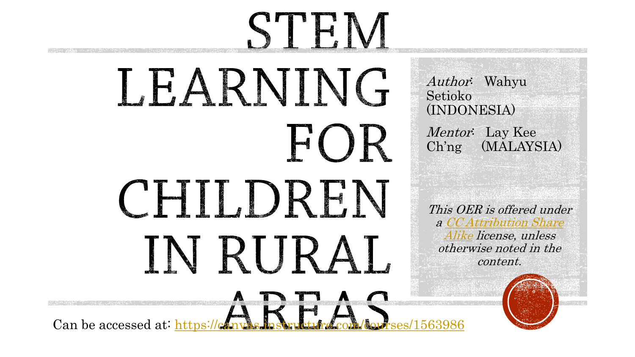# STEM LEARNING HOR CHI DREN IN RURAL  $\lim_{k \to \infty} \lim_{k \to \infty} \lim_{k \to \infty} \lim_{k \to \infty} \lim_{k \to \infty} \lim_{k \to \infty} \lim_{k \to \infty}$

Author: Wahyu Setioko (INDONESIA)

Mentor: Lay Kee Ch'ng (MALAYSIA)

This OER is offered under [a CC Attribution Share](https://creativecommons.org/licenses/by-sa/4.0/)  Alike license, unless otherwise noted in the content.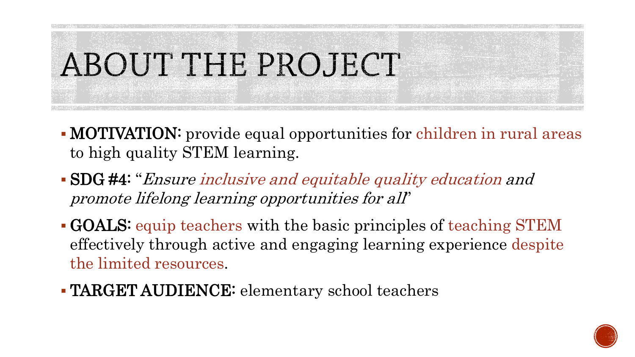

- MOTIVATION: provide equal opportunities for children in rural areas to high quality STEM learning.
- SDG #4: "Ensure inclusive and equitable quality education and promote lifelong learning opportunities for all"
- GOALS: equip teachers with the basic principles of teaching STEM effectively through active and engaging learning experience despite the limited resources.
- TARGET AUDIENCE: elementary school teachers

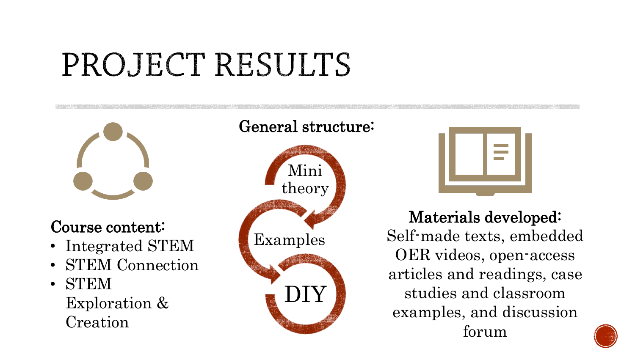## PROJECT RESULTS



### Course content:

- Integrated STEM
- STEM Connection
- STEM Exploration & Creation





Materials developed: Self-made texts, embedded OER videos, open-access articles and readings, case studies and classroom examples, and discussion forum

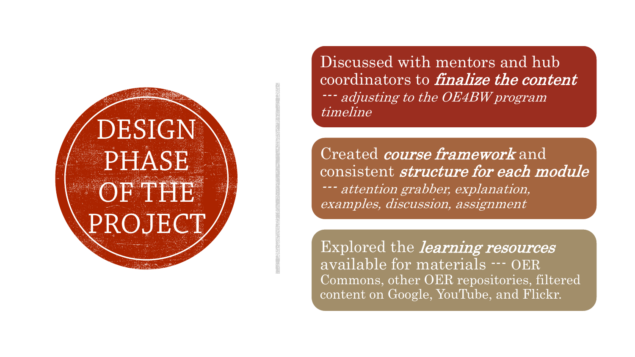# DESIGN **PHASE** OF THE

Discussed with mentors and hub coordinators to finalize the content --- adjusting to the OE4BW program timeline

Created course framework and consistent structure for each module --- attention grabber, explanation, examples, discussion, assignment

Explored the *learning resources* available for materials --- OER Commons, other OER repositories, filtered content on Google, YouTube, and Flickr.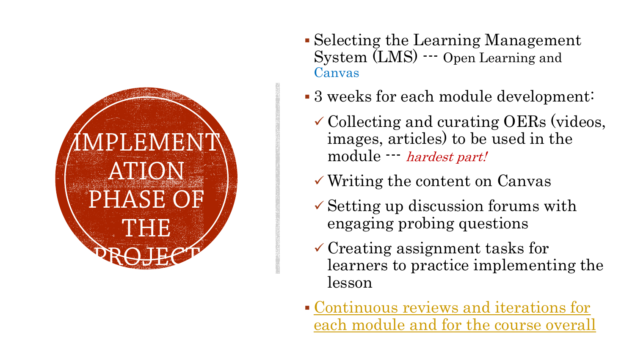

- Selecting the Learning Management System (LMS) --- Open Learning and Canvas
- 3 weeks for each module development:
	- Collecting and curating OERs (videos, images, articles) to be used in the module --- hardest part!
	- Writing the content on Canvas
	- $\checkmark$  Setting up discussion forums with engaging probing questions
	- $\checkmark$  Creating assignment tasks for learners to practice implementing the lesson
- Continuous reviews and iterations for [each module and for the course overall](https://canvas.instructure.com/courses/1563986/modules)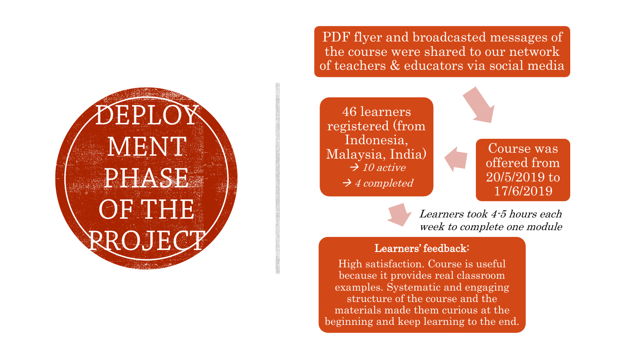EPL( MENT PHASE OF THE

PDF flyer and broadcasted messages of the course were shared to our network of teachers & educators via social media



Learners took 4-5 hours each week to complete one module

#### Learners' feedback:

High satisfaction. Course is useful because it provides real classroom examples. Systematic and engaging structure of the course and the materials made them curious at the beginning and keep learning to the end.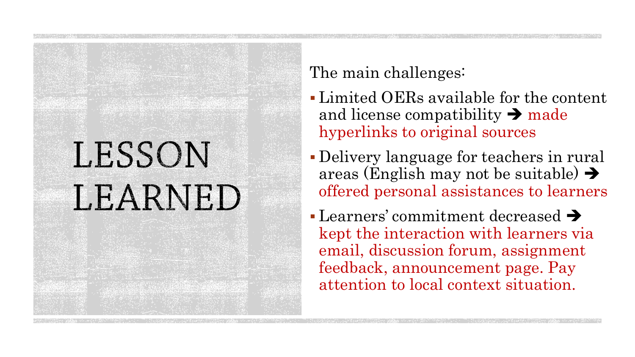## LESSON LEARNED

### The main challenges:

- Limited OERs available for the content and license compatibility  $\rightarrow$  made hyperlinks to original sources
- Delivery language for teachers in rural areas (English may not be suitable)  $\rightarrow$ offered personal assistances to learners
- $\blacksquare$  Learners' commitment decreased  $\blacktriangleright$ kept the interaction with learners via email, discussion forum, assignment feedback, announcement page. Pay attention to local context situation.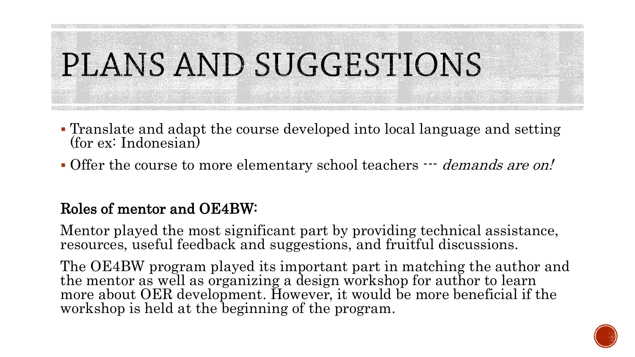# PLANS AND SUGGESTIONS

- Translate and adapt the course developed into local language and setting (for ex: Indonesian)
- Offer the course to more elementary school teachers  $-$  *demands are on!*

### Roles of mentor and OE4BW:

Mentor played the most significant part by providing technical assistance, resources, useful feedback and suggestions, and fruitful discussions.

The OE4BW program played its important part in matching the author and the mentor as well as organizing a design workshop for author to learn more about OER development. However, it would be more beneficial if the workshop is held at the beginning of the program.